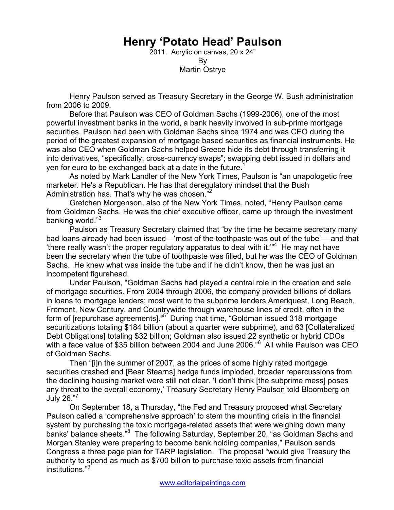## **Henry 'Potato Head' Paulson**

2011. Acrylic on canvas, 20 x 24" By Martin Ostrye

 Henry Paulson served as Treasury Secretary in the George W. Bush administration from 2006 to 2009.

Before that Paulson was CEO of Goldman Sachs (1999-2006), one of the most powerful investment banks in the world, a bank heavily involved in sub-prime mortgage securities. Paulson had been with Goldman Sachs since 1974 and was CEO during the period of the greatest expansion of mortgage based securities as financial instruments. He was also CEO when Goldman Sachs helped Greece hide its debt through transferring it into derivatives, "specifically, cross-currency swaps"; swapping debt issued in dollars and yen for euro to be exchanged back at a date in the future.<sup>1</sup>

 As noted by Mark Landler of the New York Times, Paulson is "an unapologetic free marketer. He's a Republican. He has that deregulatory mindset that the Bush Administration has. That's why he was chosen.<sup>"2</sup>

Gretchen Morgenson, also of the New York Times, noted, "Henry Paulson came from Goldman Sachs. He was the chief executive officer, came up through the investment banking world."<sup>3</sup>

 Paulson as Treasury Secretary claimed that "by the time he became secretary many bad loans already had been issued—'most of the toothpaste was out of the tube'— and that 'there really wasn't the proper regulatory apparatus to deal with it. $"^4$  He may not have been the secretary when the tube of toothpaste was filled, but he was the CEO of Goldman Sachs. He knew what was inside the tube and if he didn't know, then he was just an incompetent figurehead.

Under Paulson, "Goldman Sachs had played a central role in the creation and sale of mortgage securities. From 2004 through 2006, the company provided billions of dollars in loans to mortgage lenders; most went to the subprime lenders Ameriquest, Long Beach, Fremont, New Century, and Countrywide through warehouse lines of credit, often in the form of [repurchase agreements]."<sup>5</sup> During that time, "Goldman issued 318 mortgage securitizations totaling \$184 billion (about a quarter were subprime), and 63 [Collateralized Debt Obligations] totaling \$32 billion; Goldman also issued 22 synthetic or hybrid CDOs with a face value of \$35 billion between 2004 and June 2006."<sup>6</sup> All while Paulson was CEO of Goldman Sachs.

 Then "[i]n the summer of 2007, as the prices of some highly rated mortgage securities crashed and [Bear Stearns] hedge funds imploded, broader repercussions from the declining housing market were still not clear. 'I don't think [the subprime mess] poses any threat to the overall economy,' Treasury Secretary Henry Paulson told Bloomberg on July 26."<sup>7</sup>

 On September 18, a Thursday, "the Fed and Treasury proposed what Secretary Paulson called a 'comprehensive approach' to stem the mounting crisis in the financial system by purchasing the toxic mortgage-related assets that were weighing down many banks' balance sheets."<sup>8</sup> The following Saturday, September 20, "as Goldman Sachs and Morgan Stanley were preparing to become bank holding companies," Paulson sends Congress a three page plan for TARP legislation. The proposal "would give Treasury the authority to spend as much as \$700 billion to purchase toxic assets from financial institutions."<sup>9</sup>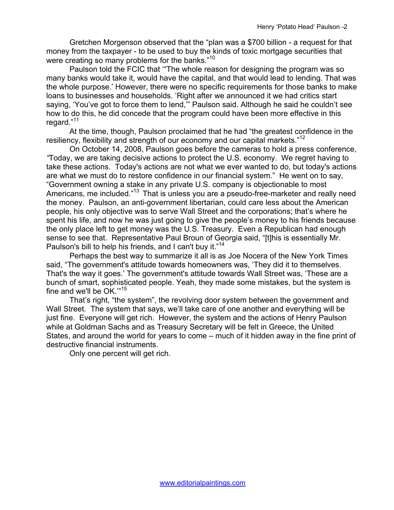Gretchen Morgenson observed that the "plan was a \$700 billion - a request for that money from the taxpayer - to be used to buy the kinds of toxic mortgage securities that were creating so many problems for the banks."<sup>10</sup>

 Paulson told the FCIC that '"The whole reason for designing the program was so many banks would take it, would have the capital, and that would lead to lending. That was the whole purpose.' However, there were no specific requirements for those banks to make loans to businesses and households. 'Right after we announced it we had critics start saying, 'You've got to force them to lend,'" Paulson said. Although he said he couldn't see how to do this, he did concede that the program could have been more effective in this regard."<sup>11</sup>

 At the time, though, Paulson proclaimed that he had "the greatest confidence in the resiliency, flexibility and strength of our economy and our capital markets."<sup>12</sup>

 On October 14, 2008, Paulson goes before the cameras to hold a press conference, *"*Today, we are taking decisive actions to protect the U.S. economy. We regret having to take these actions. Today's actions are not what we ever wanted to do, but today's actions are what we must do to restore confidence in our financial system." He went on to say, "Government owning a stake in any private U.S. company is objectionable to most Americans, me included."13 That is unless you are a pseudo-free-marketer and really need the money. Paulson, an anti-government libertarian, could care less about the American people, his only objective was to serve Wall Street and the corporations; that's where he spent his life, and now he was just going to give the people's money to his friends because the only place left to get money was the U.S. Treasury. Even a Republican had enough sense to see that. Representative Paul Broun of Georgia said, "[t]his is essentially Mr. Paulson's bill to help his friends, and I can't buy it."<sup>14</sup>

 Perhaps the best way to summarize it all is as Joe Nocera of the New York Times said, "The government's attitude towards homeowners was, 'They did it to themselves. That's the way it goes.' The government's attitude towards Wall Street was, 'These are a bunch of smart, sophisticated people. Yeah, they made some mistakes, but the system is fine and we'll be OK.'"<sup>15</sup>

That's right, "the system", the revolving door system between the government and Wall Street. The system that says, we'll take care of one another and everything will be just fine. Everyone will get rich. However, the system and the actions of Henry Paulson while at Goldman Sachs and as Treasury Secretary will be felt in Greece, the United States, and around the world for years to come – much of it hidden away in the fine print of destructive financial instruments.

Only one percent will get rich.